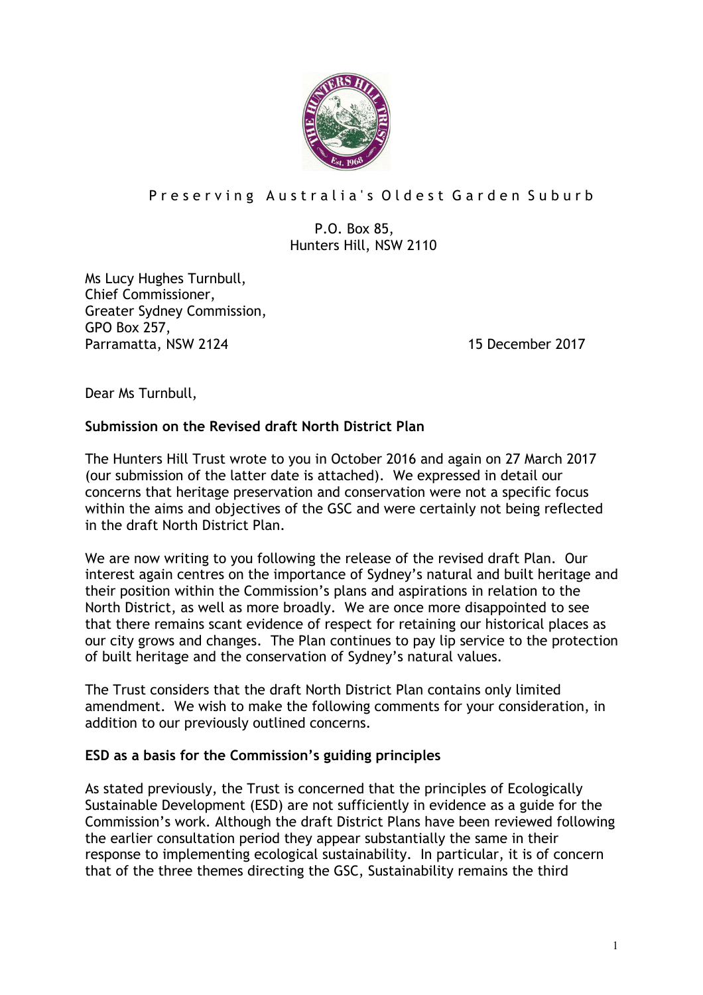

# Preserving Australia's Oldest Garden Suburb

## P.O. Box 85, Hunters Hill, NSW 2110

Ms Lucy Hughes Turnbull, Chief Commissioner, Greater Sydney Commission, GPO Box 257, Parramatta, NSW 2124 15 December 2017

Dear Ms Turnbull,

## **Submission on the Revised draft North District Plan**

The Hunters Hill Trust wrote to you in October 2016 and again on 27 March 2017 (our submission of the latter date is attached). We expressed in detail our concerns that heritage preservation and conservation were not a specific focus within the aims and objectives of the GSC and were certainly not being reflected in the draft North District Plan.

We are now writing to you following the release of the revised draft Plan. Our interest again centres on the importance of Sydney's natural and built heritage and their position within the Commission's plans and aspirations in relation to the North District, as well as more broadly. We are once more disappointed to see that there remains scant evidence of respect for retaining our historical places as our city grows and changes. The Plan continues to pay lip service to the protection of built heritage and the conservation of Sydney's natural values.

The Trust considers that the draft North District Plan contains only limited amendment. We wish to make the following comments for your consideration, in addition to our previously outlined concerns.

### **ESD as a basis for the Commission's guiding principles**

As stated previously, the Trust is concerned that the principles of Ecologically Sustainable Development (ESD) are not sufficiently in evidence as a guide for the Commission's work. Although the draft District Plans have been reviewed following the earlier consultation period they appear substantially the same in their response to implementing ecological sustainability. In particular, it is of concern that of the three themes directing the GSC, Sustainability remains the third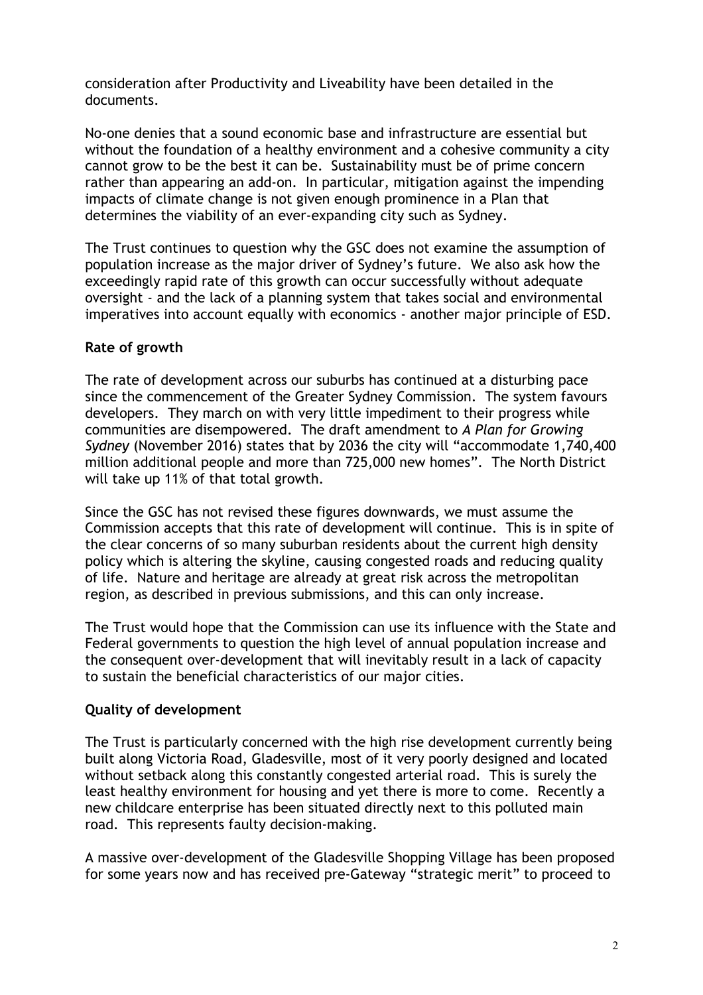consideration after Productivity and Liveability have been detailed in the documents.

No-one denies that a sound economic base and infrastructure are essential but without the foundation of a healthy environment and a cohesive community a city cannot grow to be the best it can be. Sustainability must be of prime concern rather than appearing an add-on. In particular, mitigation against the impending impacts of climate change is not given enough prominence in a Plan that determines the viability of an ever-expanding city such as Sydney.

The Trust continues to question why the GSC does not examine the assumption of population increase as the major driver of Sydney's future. We also ask how the exceedingly rapid rate of this growth can occur successfully without adequate oversight - and the lack of a planning system that takes social and environmental imperatives into account equally with economics - another major principle of ESD.

## **Rate of growth**

The rate of development across our suburbs has continued at a disturbing pace since the commencement of the Greater Sydney Commission. The system favours developers. They march on with very little impediment to their progress while communities are disempowered. The draft amendment to *A Plan for Growing Sydney* (November 2016) states that by 2036 the city will "accommodate 1,740,400 million additional people and more than 725,000 new homes". The North District will take up 11% of that total growth.

Since the GSC has not revised these figures downwards, we must assume the Commission accepts that this rate of development will continue. This is in spite of the clear concerns of so many suburban residents about the current high density policy which is altering the skyline, causing congested roads and reducing quality of life. Nature and heritage are already at great risk across the metropolitan region, as described in previous submissions, and this can only increase.

The Trust would hope that the Commission can use its influence with the State and Federal governments to question the high level of annual population increase and the consequent over-development that will inevitably result in a lack of capacity to sustain the beneficial characteristics of our major cities.

## **Quality of development**

The Trust is particularly concerned with the high rise development currently being built along Victoria Road, Gladesville, most of it very poorly designed and located without setback along this constantly congested arterial road. This is surely the least healthy environment for housing and yet there is more to come. Recently a new childcare enterprise has been situated directly next to this polluted main road. This represents faulty decision-making.

A massive over-development of the Gladesville Shopping Village has been proposed for some years now and has received pre-Gateway "strategic merit" to proceed to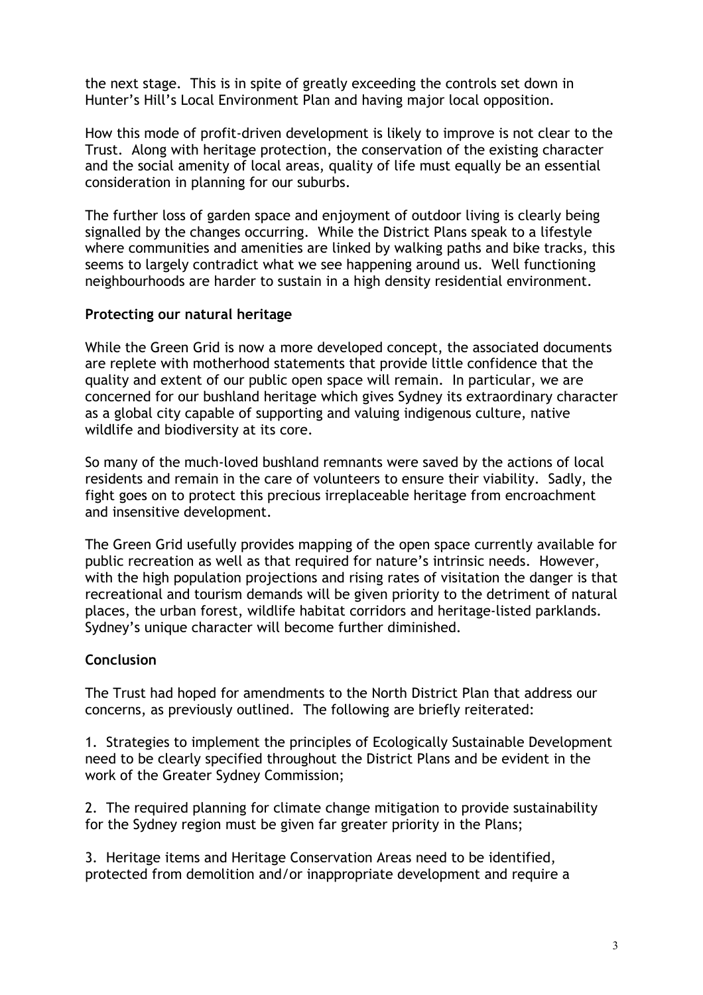the next stage. This is in spite of greatly exceeding the controls set down in Hunter's Hill's Local Environment Plan and having major local opposition.

How this mode of profit-driven development is likely to improve is not clear to the Trust. Along with heritage protection, the conservation of the existing character and the social amenity of local areas, quality of life must equally be an essential consideration in planning for our suburbs.

The further loss of garden space and enjoyment of outdoor living is clearly being signalled by the changes occurring. While the District Plans speak to a lifestyle where communities and amenities are linked by walking paths and bike tracks, this seems to largely contradict what we see happening around us. Well functioning neighbourhoods are harder to sustain in a high density residential environment.

### **Protecting our natural heritage**

While the Green Grid is now a more developed concept, the associated documents are replete with motherhood statements that provide little confidence that the quality and extent of our public open space will remain. In particular, we are concerned for our bushland heritage which gives Sydney its extraordinary character as a global city capable of supporting and valuing indigenous culture, native wildlife and biodiversity at its core.

So many of the much-loved bushland remnants were saved by the actions of local residents and remain in the care of volunteers to ensure their viability. Sadly, the fight goes on to protect this precious irreplaceable heritage from encroachment and insensitive development.

The Green Grid usefully provides mapping of the open space currently available for public recreation as well as that required for nature's intrinsic needs. However, with the high population projections and rising rates of visitation the danger is that recreational and tourism demands will be given priority to the detriment of natural places, the urban forest, wildlife habitat corridors and heritage-listed parklands. Sydney's unique character will become further diminished.

### **Conclusion**

The Trust had hoped for amendments to the North District Plan that address our concerns, as previously outlined. The following are briefly reiterated:

1. Strategies to implement the principles of Ecologically Sustainable Development need to be clearly specified throughout the District Plans and be evident in the work of the Greater Sydney Commission;

2. The required planning for climate change mitigation to provide sustainability for the Sydney region must be given far greater priority in the Plans;

3. Heritage items and Heritage Conservation Areas need to be identified, protected from demolition and/or inappropriate development and require a